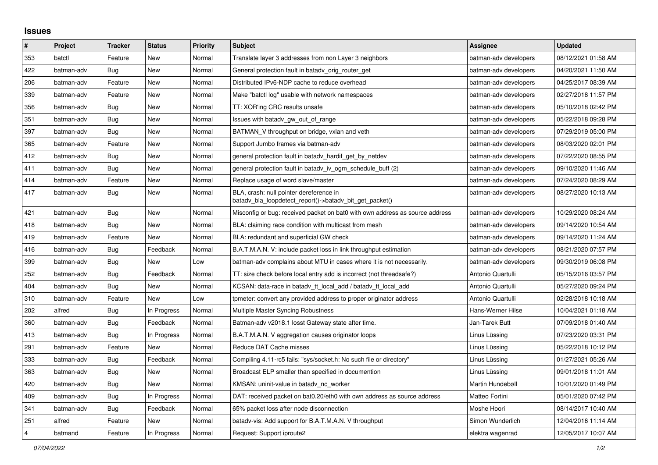## **Issues**

| $\vert$ #      | Project    | <b>Tracker</b> | <b>Status</b> | <b>Priority</b> | <b>Subject</b>                                                                                     | Assignee              | <b>Updated</b>      |
|----------------|------------|----------------|---------------|-----------------|----------------------------------------------------------------------------------------------------|-----------------------|---------------------|
| 353            | batctl     | Feature        | <b>New</b>    | Normal          | Translate layer 3 addresses from non Layer 3 neighbors                                             | batman-adv developers | 08/12/2021 01:58 AM |
| 422            | batman-adv | Bug            | New           | Normal          | General protection fault in batady orig router get                                                 | batman-adv developers | 04/20/2021 11:50 AM |
| 206            | batman-adv | Feature        | New           | Normal          | Distributed IPv6-NDP cache to reduce overhead                                                      | batman-adv developers | 04/25/2017 08:39 AM |
| 339            | batman-adv | Feature        | <b>New</b>    | Normal          | Make "batctl log" usable with network namespaces                                                   | batman-adv developers | 02/27/2018 11:57 PM |
| 356            | batman-adv | Bug            | <b>New</b>    | Normal          | TT: XOR'ing CRC results unsafe                                                                     | batman-adv developers | 05/10/2018 02:42 PM |
| 351            | batman-adv | <b>Bug</b>     | <b>New</b>    | Normal          | Issues with batady gw out of range                                                                 | batman-adv developers | 05/22/2018 09:28 PM |
| 397            | batman-adv | Bug            | New           | Normal          | BATMAN_V throughput on bridge, vxlan and veth                                                      | batman-adv developers | 07/29/2019 05:00 PM |
| 365            | batman-adv | Feature        | New           | Normal          | Support Jumbo frames via batman-adv                                                                | batman-adv developers | 08/03/2020 02:01 PM |
| 412            | batman-adv | Bug            | <b>New</b>    | Normal          | general protection fault in batady_hardif_get_by_netdev                                            | batman-adv developers | 07/22/2020 08:55 PM |
| 411            | batman-adv | <b>Bug</b>     | <b>New</b>    | Normal          | general protection fault in batadv_iv_ogm_schedule_buff (2)                                        | batman-adv developers | 09/10/2020 11:46 AM |
| 414            | batman-adv | Feature        | <b>New</b>    | Normal          | Replace usage of word slave/master                                                                 | batman-adv developers | 07/24/2020 08:29 AM |
| 417            | batman-adv | Bug            | New           | Normal          | BLA, crash: null pointer dereference in<br>batadv_bla_loopdetect_report()->batadv_bit_get_packet() | batman-adv developers | 08/27/2020 10:13 AM |
| 421            | batman-adv | Bug            | New           | Normal          | Misconfig or bug: received packet on bat0 with own address as source address                       | batman-adv developers | 10/29/2020 08:24 AM |
| 418            | batman-adv | Bug            | New           | Normal          | BLA: claiming race condition with multicast from mesh                                              | batman-adv developers | 09/14/2020 10:54 AM |
| 419            | batman-adv | Feature        | <b>New</b>    | Normal          | BLA: redundant and superficial GW check                                                            | batman-adv developers | 09/14/2020 11:24 AM |
| 416            | batman-adv | Bug            | Feedback      | Normal          | B.A.T.M.A.N. V: include packet loss in link throughput estimation                                  | batman-adv developers | 08/21/2020 07:57 PM |
| 399            | batman-adv | <b>Bug</b>     | <b>New</b>    | Low             | batman-adv complains about MTU in cases where it is not necessarily.                               | batman-adv developers | 09/30/2019 06:08 PM |
| 252            | batman-adv | Bug            | Feedback      | Normal          | TT: size check before local entry add is incorrect (not threadsafe?)                               | Antonio Quartulli     | 05/15/2016 03:57 PM |
| 404            | batman-adv | Bug            | New           | Normal          | KCSAN: data-race in batady tt local add / batady tt local add                                      | Antonio Quartulli     | 05/27/2020 09:24 PM |
| 310            | batman-adv | Feature        | <b>New</b>    | Low             | tpmeter: convert any provided address to proper originator address                                 | Antonio Quartulli     | 02/28/2018 10:18 AM |
| 202            | alfred     | Bug            | In Progress   | Normal          | Multiple Master Syncing Robustness                                                                 | Hans-Werner Hilse     | 10/04/2021 01:18 AM |
| 360            | batman-adv | Bug            | Feedback      | Normal          | Batman-adv v2018.1 losst Gateway state after time.                                                 | Jan-Tarek Butt        | 07/09/2018 01:40 AM |
| 413            | batman-adv | Bug            | In Progress   | Normal          | B.A.T.M.A.N. V aggregation causes originator loops                                                 | Linus Lüssing         | 07/23/2020 03:31 PM |
| 291            | batman-adv | Feature        | New           | Normal          | Reduce DAT Cache misses                                                                            | Linus Lüssing         | 05/22/2018 10:12 PM |
| 333            | batman-adv | Bug            | Feedback      | Normal          | Compiling 4.11-rc5 fails: "sys/socket.h: No such file or directory"                                | Linus Lüssing         | 01/27/2021 05:26 AM |
| 363            | batman-adv | Bug            | New           | Normal          | Broadcast ELP smaller than specified in documention                                                | Linus Lüssing         | 09/01/2018 11:01 AM |
| 420            | batman-adv | Bug            | New           | Normal          | KMSAN: uninit-value in batady nc worker                                                            | Martin Hundebøll      | 10/01/2020 01:49 PM |
| 409            | batman-adv | Bug            | In Progress   | Normal          | DAT: received packet on bat0.20/eth0 with own address as source address                            | Matteo Fortini        | 05/01/2020 07:42 PM |
| 341            | batman-adv | Bug            | Feedback      | Normal          | 65% packet loss after node disconnection                                                           | Moshe Hoori           | 08/14/2017 10:40 AM |
| 251            | alfred     | Feature        | New           | Normal          | batady-vis: Add support for B.A.T.M.A.N. V throughput                                              | Simon Wunderlich      | 12/04/2016 11:14 AM |
| $\overline{4}$ | batmand    | Feature        | In Progress   | Normal          | Request: Support iproute2                                                                          | elektra wagenrad      | 12/05/2017 10:07 AM |